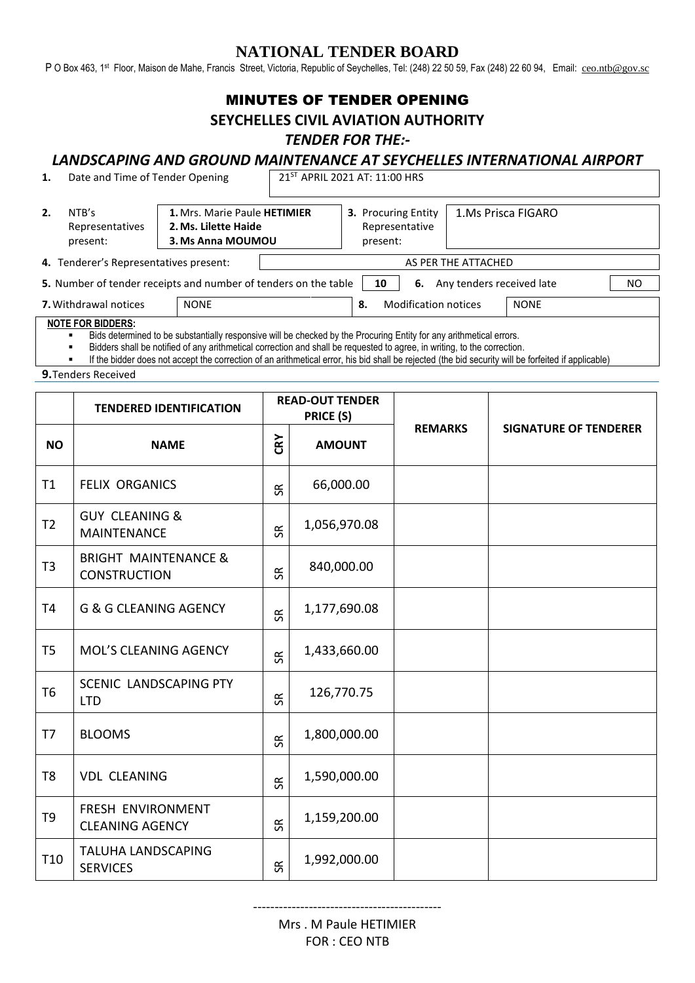## **NATIONAL TENDER BOARD**

P O Box 463, 1st Floor, Maison de Mahe, Francis Street, Victoria, Republic of Seychelles, Tel: (248) 22 50 59, Fax (248) 22 60 94, Email: [ceo.ntb@gov.sc](mailto:ceo.ntb@gov.sc)

# MINUTES OF TENDER OPENING

#### **SEYCHELLES CIVIL AVIATION AUTHORITY**

#### *TENDER FOR THE:-*

# *LANDSCAPING AND GROUND MAINTENANCE AT SEYCHELLES INTERNATIONAL AIRPORT*

| 1.                                                                                                             | Date and Time of Tender Opening      |                                                                           | 21ST APRIL 2021 AT: 11:00 HRS |                                                          |  |                    |  |  |  |  |  |
|----------------------------------------------------------------------------------------------------------------|--------------------------------------|---------------------------------------------------------------------------|-------------------------------|----------------------------------------------------------|--|--------------------|--|--|--|--|--|
| 2.                                                                                                             | NTB's<br>Representatives<br>present: | 1. Mrs. Marie Paule HETIMIER<br>2. Ms. Lilette Haide<br>3. Ms Anna MOUMOU |                               | <b>3. Procuring Entity</b><br>Representative<br>present: |  | 1.Ms Prisca FIGARO |  |  |  |  |  |
| 4. Tenderer's Representatives present:                                                                         |                                      |                                                                           |                               | AS PER THE ATTACHED                                      |  |                    |  |  |  |  |  |
| 5. Number of tender receipts and number of tenders on the table<br>Any tenders received late<br>6.<br>ΝO<br>10 |                                      |                                                                           |                               |                                                          |  |                    |  |  |  |  |  |
| <b>7.</b> Withdrawal notices<br><b>NONE</b>                                                                    |                                      |                                                                           |                               | <b>Modification notices</b><br>8.                        |  | <b>NONE</b>        |  |  |  |  |  |
| <b>NOTE FOR BIDDERS:</b>                                                                                       |                                      |                                                                           |                               |                                                          |  |                    |  |  |  |  |  |

Bids determined to be substantially responsive will be checked by the Procuring Entity for any arithmetical errors.

Bidders shall be notified of any arithmetical correction and shall be requested to agree, in writing, to the correction.

If the bidder does not accept the correction of an arithmetical error, his bid shall be rejected (the bid security will be forfeited if applicable)

**9.**Tenders Received

|                 | <b>TENDERED IDENTIFICATION</b>                         |                 | <b>READ-OUT TENDER</b><br>PRICE (S) |                |                              |  |
|-----------------|--------------------------------------------------------|-----------------|-------------------------------------|----------------|------------------------------|--|
| <b>NO</b>       | <b>NAME</b>                                            | CRY             | <b>AMOUNT</b>                       | <b>REMARKS</b> | <b>SIGNATURE OF TENDERER</b> |  |
| T1              | <b>FELIX ORGANICS</b>                                  | $\Im$           | 66,000.00                           |                |                              |  |
| T <sub>2</sub>  | <b>GUY CLEANING &amp;</b><br><b>MAINTENANCE</b>        | $\Im$           | 1,056,970.08                        |                |                              |  |
| T <sub>3</sub>  | <b>BRIGHT MAINTENANCE &amp;</b><br><b>CONSTRUCTION</b> | $\Im$           | 840,000.00                          |                |                              |  |
| T <sub>4</sub>  | <b>G &amp; G CLEANING AGENCY</b>                       | $\Im$           | 1,177,690.08                        |                |                              |  |
| T <sub>5</sub>  | MOL'S CLEANING AGENCY                                  | $\Im$           | 1,433,660.00                        |                |                              |  |
| T <sub>6</sub>  | SCENIC LANDSCAPING PTY<br><b>LTD</b>                   | $\Im$           | 126,770.75                          |                |                              |  |
| T7              | <b>BLOOMS</b>                                          | $S\overline{R}$ | 1,800,000.00                        |                |                              |  |
| T <sub>8</sub>  | <b>VDL CLEANING</b>                                    | $\Im$           | 1,590,000.00                        |                |                              |  |
| T <sub>9</sub>  | FRESH ENVIRONMENT<br><b>CLEANING AGENCY</b>            | $\Im$           | 1,159,200.00                        |                |                              |  |
| T <sub>10</sub> | TALUHA LANDSCAPING<br><b>SERVICES</b>                  | S <sub>R</sub>  | 1,992,000.00                        |                |                              |  |

Mrs . M Paule HETIMIER FOR : CEO NTB

--------------------------------------------